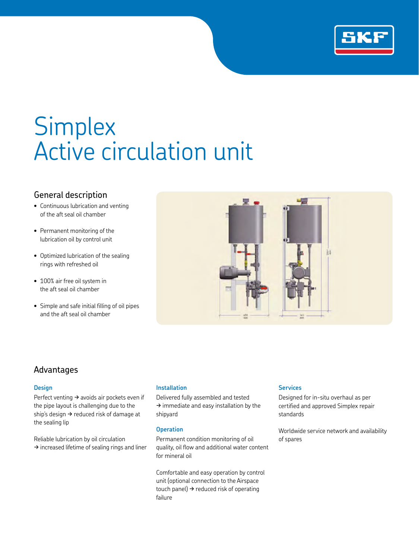

# **Simplex** Active circulation unit

## General description

- Continuous lubrication and venting of the aft seal oil chamber
- Permanent monitoring of the lubrication oil by control unit
- Optimized lubrication of the sealing rings with refreshed oil
- 100% air free oil system in the aft seal oil chamber
- Simple and safe initial filling of oil pipes and the aft seal oil chamber



### Advantages

#### **Design**

Perfect venting  $\rightarrow$  avoids air pockets even if the pipe layout is challenging due to the ship's design  $\rightarrow$  reduced risk of damage at the sealing lip

Reliable lubrication by oil circulation  $\rightarrow$  increased lifetime of sealing rings and liner

#### **Installation**

Delivered fully assembled and tested  $\rightarrow$  immediate and easy installation by the shipyard

#### **Operation**

Permanent condition monitoring of oil quality, oil flow and additional water content for mineral oil

Comfortable and easy operation by control unit (optional connection to the Airspace touch panel)  $\rightarrow$  reduced risk of operating failure

#### **Services**

Designed for in-situ overhaul as per certified and approved Simplex repair standards

Worldwide service network and availability of spares